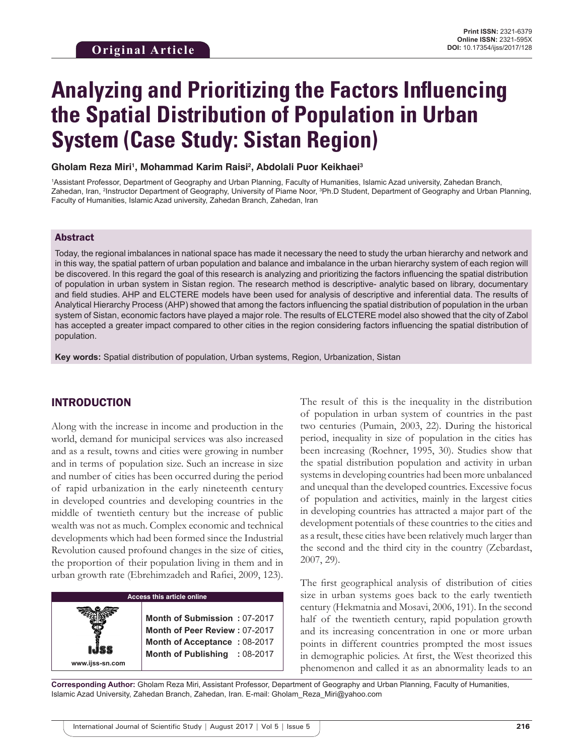# **Analyzing and Prioritizing the Factors Influencing the Spatial Distribution of Population in Urban System (Case Study: Sistan Region)**

**Gholam Reza Miri1 , Mohammad Karim Raisi2 , Abdolali Puor Keikhaei3**

1 Assistant Professor, Department of Geography and Urban Planning, Faculty of Humanities, Islamic Azad university, Zahedan Branch, Zahedan, Iran, <sup>2</sup>Instructor Department of Geography, University of Piame Noor, <sup>3</sup>Ph.D Student, Department of Geography and Urban Planning, Faculty of Humanities, Islamic Azad university, Zahedan Branch, Zahedan, Iran

#### Abstract

Today, the regional imbalances in national space has made it necessary the need to study the urban hierarchy and network and in this way, the spatial pattern of urban population and balance and imbalance in the urban hierarchy system of each region will be discovered. In this regard the goal of this research is analyzing and prioritizing the factors influencing the spatial distribution of population in urban system in Sistan region. The research method is descriptive- analytic based on library, documentary and field studies. AHP and ELCTERE models have been used for analysis of descriptive and inferential data. The results of Analytical Hierarchy Process (AHP) showed that among the factors influencing the spatial distribution of population in the urban system of Sistan, economic factors have played a major role. The results of ELCTERE model also showed that the city of Zabol has accepted a greater impact compared to other cities in the region considering factors influencing the spatial distribution of population.

**Key words:** Spatial distribution of population, Urban systems, Region, Urbanization, Sistan

## INTRODUCTION

Along with the increase in income and production in the world, demand for municipal services was also increased and as a result, towns and cities were growing in number and in terms of population size. Such an increase in size and number of cities has been occurred during the period of rapid urbanization in the early nineteenth century in developed countries and developing countries in the middle of twentieth century but the increase of public wealth was not as much. Complex economic and technical developments which had been formed since the Industrial Revolution caused profound changes in the size of cities, the proportion of their population living in them and in urban growth rate (Ebrehimzadeh and Rafiei, 2009, 123).

**Access this article online www.ijss-sn.com Month of Submission :** 07-2017 **Month of Peer Review :** 07-2017 **Month of Acceptance :** 08-2017 **Month of Publishing :** 08-2017 The result of this is the inequality in the distribution of population in urban system of countries in the past two centuries (Pumain, 2003, 22). During the historical period, inequality in size of population in the cities has been increasing (Roehner, 1995, 30). Studies show that the spatial distribution population and activity in urban systems in developing countries had been more unbalanced and unequal than the developed countries. Excessive focus of population and activities, mainly in the largest cities in developing countries has attracted a major part of the development potentials of these countries to the cities and as a result, these cities have been relatively much larger than the second and the third city in the country (Zebardast, 2007, 29).

The first geographical analysis of distribution of cities size in urban systems goes back to the early twentieth century (Hekmatnia and Mosavi, 2006, 191). In the second half of the twentieth century, rapid population growth and its increasing concentration in one or more urban points in different countries prompted the most issues in demographic policies. At first, the West theorized this phenomenon and called it as an abnormality leads to an

**Corresponding Author:** Gholam Reza Miri, Assistant Professor, Department of Geography and Urban Planning, Faculty of Humanities, Islamic Azad University, Zahedan Branch, Zahedan, Iran. E-mail: Gholam\_Reza\_Miri@yahoo.com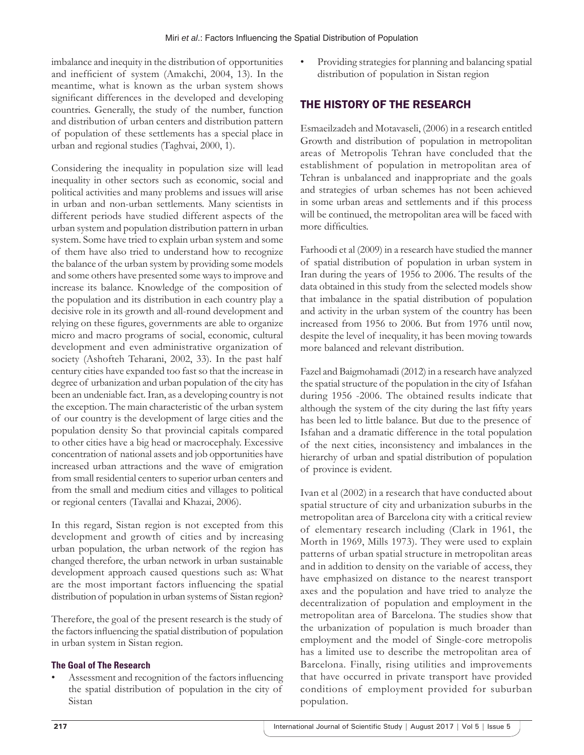imbalance and inequity in the distribution of opportunities and inefficient of system (Amakchi, 2004, 13). In the meantime, what is known as the urban system shows significant differences in the developed and developing countries. Generally, the study of the number, function and distribution of urban centers and distribution pattern of population of these settlements has a special place in urban and regional studies (Taghvai, 2000, 1).

Considering the inequality in population size will lead inequality in other sectors such as economic, social and political activities and many problems and issues will arise in urban and non-urban settlements. Many scientists in different periods have studied different aspects of the urban system and population distribution pattern in urban system. Some have tried to explain urban system and some of them have also tried to understand how to recognize the balance of the urban system by providing some models and some others have presented some ways to improve and increase its balance. Knowledge of the composition of the population and its distribution in each country play a decisive role in its growth and all-round development and relying on these figures, governments are able to organize micro and macro programs of social, economic, cultural development and even administrative organization of society (Ashofteh Teharani, 2002, 33). In the past half century cities have expanded too fast so that the increase in degree of urbanization and urban population of the city has been an undeniable fact. Iran, as a developing country is not the exception. The main characteristic of the urban system of our country is the development of large cities and the population density So that provincial capitals compared to other cities have a big head or macrocephaly. Excessive concentration of national assets and job opportunities have increased urban attractions and the wave of emigration from small residential centers to superior urban centers and from the small and medium cities and villages to political or regional centers (Tavallai and Khazai, 2006).

In this regard, Sistan region is not excepted from this development and growth of cities and by increasing urban population, the urban network of the region has changed therefore, the urban network in urban sustainable development approach caused questions such as: What are the most important factors influencing the spatial distribution of population in urban systems of Sistan region?

Therefore, the goal of the present research is the study of the factors influencing the spatial distribution of population in urban system in Sistan region.

## **The Goal of The Research**

Assessment and recognition of the factors influencing the spatial distribution of population in the city of Sistan

Providing strategies for planning and balancing spatial distribution of population in Sistan region

# THE HISTORY OF THE RESEARCH

Esmaeilzadeh and Motavaseli, (2006) in a research entitled Growth and distribution of population in metropolitan areas of Metropolis Tehran have concluded that the establishment of population in metropolitan area of Tehran is unbalanced and inappropriate and the goals and strategies of urban schemes has not been achieved in some urban areas and settlements and if this process will be continued, the metropolitan area will be faced with more difficulties.

Farhoodi et al (2009) in a research have studied the manner of spatial distribution of population in urban system in Iran during the years of 1956 to 2006. The results of the data obtained in this study from the selected models show that imbalance in the spatial distribution of population and activity in the urban system of the country has been increased from 1956 to 2006. But from 1976 until now, despite the level of inequality, it has been moving towards more balanced and relevant distribution.

Fazel and Baigmohamadi (2012) in a research have analyzed the spatial structure of the population in the city of Isfahan during 1956 -2006. The obtained results indicate that although the system of the city during the last fifty years has been led to little balance. But due to the presence of Isfahan and a dramatic difference in the total population of the next cities, inconsistency and imbalances in the hierarchy of urban and spatial distribution of population of province is evident.

Ivan et al (2002) in a research that have conducted about spatial structure of city and urbanization suburbs in the metropolitan area of Barcelona city with a critical review of elementary research including (Clark in 1961, the Morth in 1969, Mills 1973). They were used to explain patterns of urban spatial structure in metropolitan areas and in addition to density on the variable of access, they have emphasized on distance to the nearest transport axes and the population and have tried to analyze the decentralization of population and employment in the metropolitan area of Barcelona. The studies show that the urbanization of population is much broader than employment and the model of Single-core metropolis has a limited use to describe the metropolitan area of Barcelona. Finally, rising utilities and improvements that have occurred in private transport have provided conditions of employment provided for suburban population.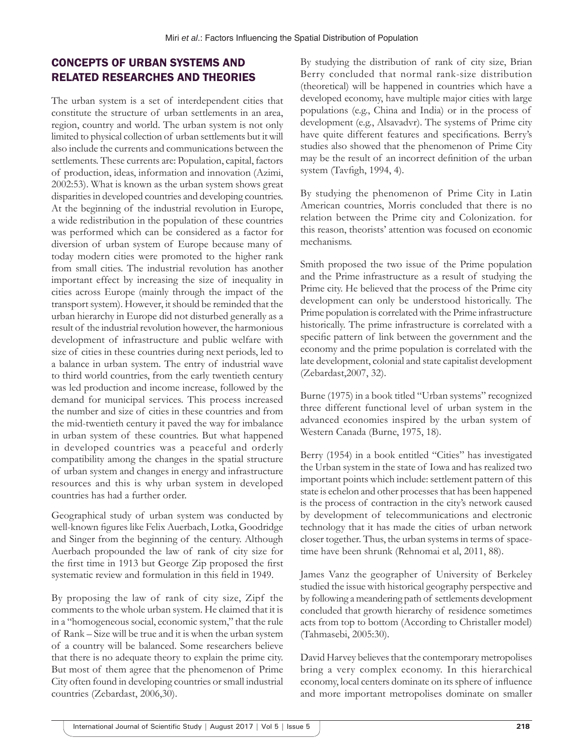## CONCEPTS OF URBAN SYSTEMS AND RELATED RESEARCHES AND THEORIES

The urban system is a set of interdependent cities that constitute the structure of urban settlements in an area, region, country and world. The urban system is not only limited to physical collection of urban settlements but it will also include the currents and communications between the settlements. These currents are: Population, capital, factors of production, ideas, information and innovation (Azimi, 2002:53). What is known as the urban system shows great disparities in developed countries and developing countries. At the beginning of the industrial revolution in Europe, a wide redistribution in the population of these countries was performed which can be considered as a factor for diversion of urban system of Europe because many of today modern cities were promoted to the higher rank from small cities. The industrial revolution has another important effect by increasing the size of inequality in cities across Europe (mainly through the impact of the transport system). However, it should be reminded that the urban hierarchy in Europe did not disturbed generally as a result of the industrial revolution however, the harmonious development of infrastructure and public welfare with size of cities in these countries during next periods, led to a balance in urban system. The entry of industrial wave to third world countries, from the early twentieth century was led production and income increase, followed by the demand for municipal services. This process increased the number and size of cities in these countries and from the mid-twentieth century it paved the way for imbalance in urban system of these countries. But what happened in developed countries was a peaceful and orderly compatibility among the changes in the spatial structure of urban system and changes in energy and infrastructure resources and this is why urban system in developed countries has had a further order.

Geographical study of urban system was conducted by well-known figures like Felix Auerbach, Lotka, Goodridge and Singer from the beginning of the century. Although Auerbach propounded the law of rank of city size for the first time in 1913 but George Zip proposed the first systematic review and formulation in this field in 1949.

By proposing the law of rank of city size, Zipf the comments to the whole urban system. He claimed that it is in a "homogeneous social, economic system," that the rule of Rank – Size will be true and it is when the urban system of a country will be balanced. Some researchers believe that there is no adequate theory to explain the prime city. But most of them agree that the phenomenon of Prime City often found in developing countries or small industrial countries (Zebardast, 2006,30).

By studying the distribution of rank of city size, Brian Berry concluded that normal rank-size distribution (theoretical) will be happened in countries which have a developed economy, have multiple major cities with large populations (e.g., China and India) or in the process of development (e.g., Alsavadvr). The systems of Prime city have quite different features and specifications. Berry's studies also showed that the phenomenon of Prime City may be the result of an incorrect definition of the urban system (Tavfigh, 1994, 4).

By studying the phenomenon of Prime City in Latin American countries, Morris concluded that there is no relation between the Prime city and Colonization. for this reason, theorists' attention was focused on economic mechanisms.

Smith proposed the two issue of the Prime population and the Prime infrastructure as a result of studying the Prime city. He believed that the process of the Prime city development can only be understood historically. The Prime population is correlated with the Prime infrastructure historically. The prime infrastructure is correlated with a specific pattern of link between the government and the economy and the prime population is correlated with the late development, colonial and state capitalist development (Zebardast,2007, 32).

Burne (1975) in a book titled "Urban systems" recognized three different functional level of urban system in the advanced economies inspired by the urban system of Western Canada (Burne, 1975, 18).

Berry (1954) in a book entitled "Cities" has investigated the Urban system in the state of Iowa and has realized two important points which include: settlement pattern of this state is echelon and other processes that has been happened is the process of contraction in the city's network caused by development of telecommunications and electronic technology that it has made the cities of urban network closer together. Thus, the urban systems in terms of spacetime have been shrunk (Rehnomai et al, 2011, 88).

James Vanz the geographer of University of Berkeley studied the issue with historical geography perspective and by following a meandering path of settlements development concluded that growth hierarchy of residence sometimes acts from top to bottom (According to Christaller model) (Tahmasebi, 2005:30).

David Harvey believes that the contemporary metropolises bring a very complex economy. In this hierarchical economy, local centers dominate on its sphere of influence and more important metropolises dominate on smaller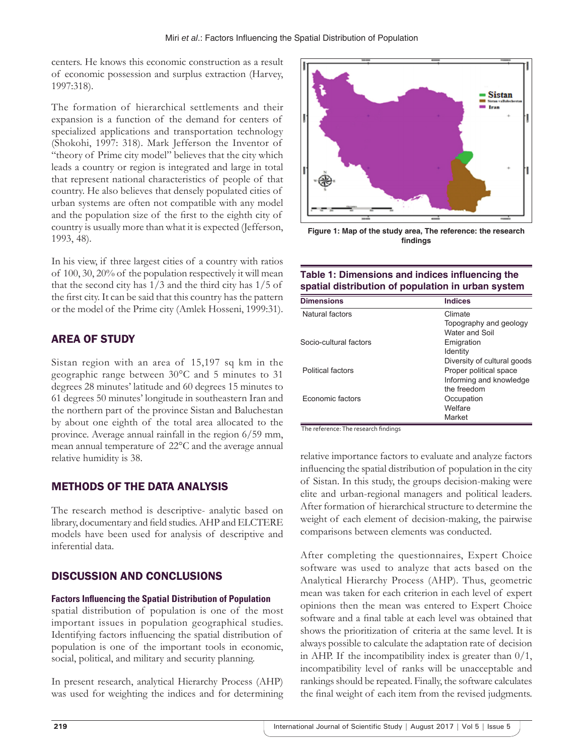centers. He knows this economic construction as a result of economic possession and surplus extraction (Harvey, 1997:318).

The formation of hierarchical settlements and their expansion is a function of the demand for centers of specialized applications and transportation technology (Shokohi, 1997: 318). Mark Jefferson the Inventor of "theory of Prime city model" believes that the city which leads a country or region is integrated and large in total that represent national characteristics of people of that country. He also believes that densely populated cities of urban systems are often not compatible with any model and the population size of the first to the eighth city of country is usually more than what it is expected (Jefferson, 1993, 48).

In his view, if three largest cities of a country with ratios of 100, 30, 20% of the population respectively it will mean that the second city has 1/3 and the third city has 1/5 of the first city. It can be said that this country has the pattern or the model of the Prime city (Amlek Hosseni, 1999:31).

# AREA OF STUDY

Sistan region with an area of 15,197 sq km in the geographic range between 30°C and 5 minutes to 31 degrees 28 minutes' latitude and 60 degrees 15 minutes to 61 degrees 50 minutes' longitude in southeastern Iran and the northern part of the province Sistan and Baluchestan by about one eighth of the total area allocated to the province. Average annual rainfall in the region 6/59 mm, mean annual temperature of 22°C and the average annual relative humidity is 38.

# METHODS OF THE DATA ANALYSIS

The research method is descriptive- analytic based on library, documentary and field studies. AHP and ELCTERE models have been used for analysis of descriptive and inferential data.

## DISCUSSION AND CONCLUSIONS

## **Factors Influencing the Spatial Distribution of Population**

spatial distribution of population is one of the most important issues in population geographical studies. Identifying factors influencing the spatial distribution of population is one of the important tools in economic, social, political, and military and security planning.

In present research, analytical Hierarchy Process (AHP) was used for weighting the indices and for determining



**Figure 1: Map of the study area, The reference: the research findings**

## **Table 1: Dimensions and indices influencing the spatial distribution of population in urban system**

| <b>Dimensions</b>      | <b>Indices</b>              |
|------------------------|-----------------------------|
| Natural factors        | Climate                     |
|                        | Topography and geology      |
|                        | Water and Soil              |
| Socio-cultural factors | Emigration                  |
|                        | Identity                    |
|                        | Diversity of cultural goods |
| Political factors      | Proper political space      |
|                        | Informing and knowledge     |
|                        | the freedom                 |
| Economic factors       | Occupation                  |
|                        | Welfare                     |
|                        | Market                      |

The reference: The research findings

relative importance factors to evaluate and analyze factors influencing the spatial distribution of population in the city of Sistan. In this study, the groups decision-making were elite and urban-regional managers and political leaders. After formation of hierarchical structure to determine the weight of each element of decision-making, the pairwise comparisons between elements was conducted.

After completing the questionnaires, Expert Choice software was used to analyze that acts based on the Analytical Hierarchy Process (AHP). Thus, geometric mean was taken for each criterion in each level of expert opinions then the mean was entered to Expert Choice software and a final table at each level was obtained that shows the prioritization of criteria at the same level. It is always possible to calculate the adaptation rate of decision in AHP. If the incompatibility index is greater than  $0/1$ , incompatibility level of ranks will be unacceptable and rankings should be repeated. Finally, the software calculates the final weight of each item from the revised judgments.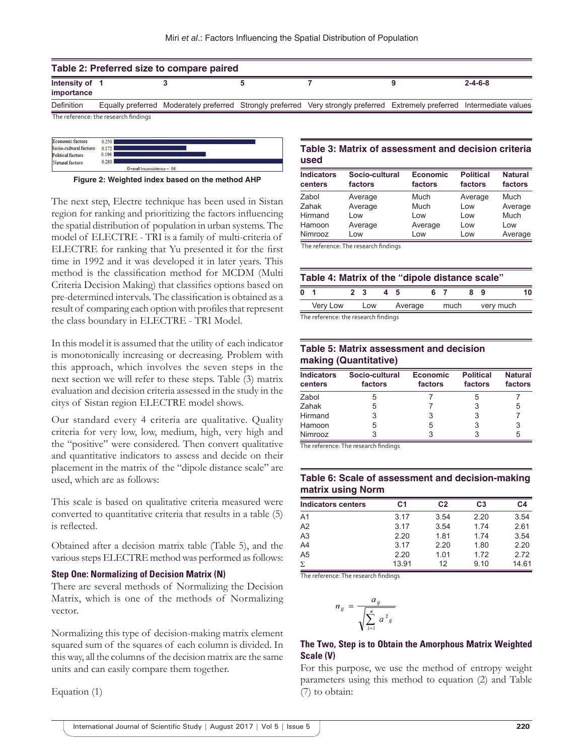| Table 2: Preferred size to compare paired |                                      |  |  |                                                                                                                           |  |                 |  |
|-------------------------------------------|--------------------------------------|--|--|---------------------------------------------------------------------------------------------------------------------------|--|-----------------|--|
| Intensity of 1<br>importance              |                                      |  |  |                                                                                                                           |  | $2 - 4 - 6 - 8$ |  |
| Definition                                |                                      |  |  | Equally preferred Moderately preferred Strongly preferred Very strongly preferred Extremely preferred Intermediate values |  |                 |  |
|                                           | The reference: the research findings |  |  |                                                                                                                           |  |                 |  |



**Figure 2: Weighted index based on the method AHP**

The next step, Electre technique has been used in Sistan region for ranking and prioritizing the factors influencing the spatial distribution of population in urban systems. The model of ELECTRE - TRI is a family of multi-criteria of ELECTRE for ranking that Yu presented it for the first time in 1992 and it was developed it in later years. This method is the classification method for MCDM (Multi Criteria Decision Making) that classifies options based on pre-determined intervals. The classification is obtained as a result of comparing each option with profiles that represent the class boundary in ELECTRE - TRI Model.

In this model it is assumed that the utility of each indicator is monotonically increasing or decreasing. Problem with this approach, which involves the seven steps in the next section we will refer to these steps. Table (3) matrix evaluation and decision criteria assessed in the study in the citys of Sistan region ELECTRE model shows.

Our standard every 4 criteria are qualitative. Quality criteria for very low, low, medium, high, very high and the "positive" were considered. Then convert qualitative and quantitative indicators to assess and decide on their placement in the matrix of the "dipole distance scale" are used, which are as follows:

This scale is based on qualitative criteria measured were converted to quantitative criteria that results in a table (5) is reflected.

Obtained after a decision matrix table (Table 5), and the various steps ELECTRE method was performed as follows:

#### **Step One: Normalizing of Decision Matrix (N)**

There are several methods of Normalizing the Decision Matrix, which is one of the methods of Normalizing vector.

Normalizing this type of decision-making matrix element squared sum of the squares of each column is divided. In this way, all the columns of the decision matrix are the same units and can easily compare them together.

Equation (1)

## **Table 3: Matrix of assessment and decision criteria used**

| <b>Indicators</b><br>centers | Socio-cultural<br>factors | <b>Economic</b><br>factors | <b>Political</b><br>factors | <b>Natural</b><br>factors |
|------------------------------|---------------------------|----------------------------|-----------------------------|---------------------------|
| Zabol                        | Average                   | Much                       | Average                     | Much                      |
| Zahak                        | Average                   | Much                       | Low                         | Average                   |
| Hirmand                      | Low                       | Low                        | Low                         | Much                      |
| Hamoon                       | Average                   | Average                    | Low                         | Low                       |
| Nimrooz                      | Low                       | Low                        | Low                         | Average                   |

The reference: The research findings

|          |                       |         |    |                                      |    | Table 4: Matrix of the "dipole distance scale" |    |
|----------|-----------------------|---------|----|--------------------------------------|----|------------------------------------------------|----|
|          |                       |         |    |                                      |    |                                                |    |
|          |                       | Average |    | much                                 |    | very much                                      |    |
| Very Low | 2 <sub>3</sub><br>Low |         | 45 | The reference the received findings. | 67 |                                                | 89 |

The reference: the research find

## **Table 5: Matrix assessment and decision making (Quantitative)**

| <b>Indicators</b><br>centers | Socio-cultural<br>factors | <b>Economic</b><br>factors | <b>Political</b><br>factors | <b>Natural</b><br>factors |
|------------------------------|---------------------------|----------------------------|-----------------------------|---------------------------|
| Zabol                        | 5                         |                            |                             |                           |
| Zahak                        | 5                         |                            |                             | 5                         |
| Hirmand                      | 3                         | 3                          |                             |                           |
| Hamoon                       | 5                         | 5                          | 3                           | 3                         |
| Nimrooz                      |                           |                            |                             | 5                         |

The reference: The research findings

## **Table 6: Scale of assessment and decision‑making matrix using Norm**

| <b>Indicators centers</b> | C <sub>1</sub> | C <sub>2</sub> | C <sub>3</sub> | C <sub>4</sub> |
|---------------------------|----------------|----------------|----------------|----------------|
| A <sub>1</sub>            | 3.17           | 3.54           | 2.20           | 3.54           |
| A2                        | 3.17           | 3.54           | 1.74           | 2.61           |
| A <sub>3</sub>            | 2.20           | 1.81           | 1.74           | 3.54           |
| A4                        | 3.17           | 2.20           | 1.80           | 2.20           |
| A <sub>5</sub>            | 2.20           | 1.01           | 1.72           | 2.72           |
| Σ.                        | 13.91          | 12             | 9.10           | 14.61          |

The reference: The research findings

$$
n_{ij} = \frac{a_{ij}}{\sqrt{\sum_{i=1}^{n} a^2_{ij}}}
$$

### **The Two, Step is to Obtain the Amorphous Matrix Weighted Scale (V)**

For this purpose, we use the method of entropy weight parameters using this method to equation (2) and Table (7) to obtain: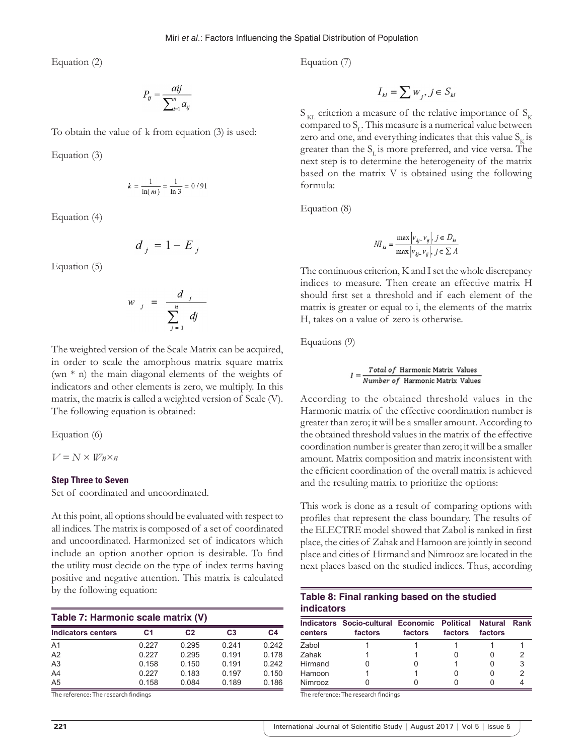Equation (2)

$$
P_{ij} = \frac{aij}{\sum_{i=1}^{n} a_{ij}}
$$

To obtain the value of k from equation (3) is used:

Equation (3)

$$
k = \frac{1}{\ln(m)} = \frac{1}{\ln 3} = 0/91
$$

Equation (4)

$$
d_j = 1 - E_j
$$

Equation (5)

$$
v_j = \frac{d_j}{\sum_{j=1}^n dj}
$$

ı

The weighted version of the Scale Matrix can be acquired, in order to scale the amorphous matrix square matrix (wn  $*$  n) the main diagonal elements of the weights of indicators and other elements is zero, we multiply. In this matrix, the matrix is called a weighted version of Scale (V). The following equation is obtained:

Equation (6)

$$
V\!=\!N\times W\! n\!\times\! n
$$

#### **Step Three to Seven**

Set of coordinated and uncoordinated.

At this point, all options should be evaluated with respect to all indices. The matrix is composed of a set of coordinated and uncoordinated. Harmonized set of indicators which include an option another option is desirable. To find the utility must decide on the type of index terms having positive and negative attention. This matrix is calculated by the following equation:

| Table 7: Harmonic scale matrix (V) |                |                |                |       |  |  |  |
|------------------------------------|----------------|----------------|----------------|-------|--|--|--|
| <b>Indicators centers</b>          | C <sub>1</sub> | C <sub>2</sub> | C <sub>3</sub> | C4    |  |  |  |
| A <sub>1</sub>                     | 0.227          | 0.295          | 0.241          | 0.242 |  |  |  |
| A <sub>2</sub>                     | 0.227          | 0.295          | 0.191          | 0.178 |  |  |  |
| A <sub>3</sub>                     | 0.158          | 0.150          | 0.191          | 0.242 |  |  |  |
| A4                                 | 0.227          | 0.183          | 0.197          | 0.150 |  |  |  |
| A <sub>5</sub>                     | 0.158          | 0.084          | 0.189          | 0.186 |  |  |  |

The reference: The research findings

Equation (7)

$$
I_{kl} = \sum w_j, j \in S_{kl}
$$

 $S_{\text{KL}}$  criterion a measure of the relative importance of  $S_{\text{KL}}$ compared to  $S_L$ . This measure is a numerical value between zero and one, and everything indicates that this value  $S_{\nu}$  is greater than the  $S<sub>r</sub>$  is more preferred, and vice versa. The next step is to determine the heterogeneity of the matrix based on the matrix V is obtained using the following formula:

Equation (8)

$$
MI_{ki} = \frac{\max |v_{kj} - v_{ij}|, j \in D_{ki}}{\max |v_{kj} - v_{ij}|, j \in \sum A}
$$

The continuous criterion, K and I set the whole discrepancy indices to measure. Then create an effective matrix H should first set a threshold and if each element of the matrix is greater or equal to i, the elements of the matrix H, takes on a value of zero is otherwise.

Equations (9)

$$
I = \frac{Total\ of\ Harmonic\ Matrix\ Values}{Number\ of\ Harmonic\ Matrix\ Values}
$$

According to the obtained threshold values in the Harmonic matrix of the effective coordination number is greater than zero; it will be a smaller amount. According to the obtained threshold values in the matrix of the effective coordination number is greater than zero; it will be a smaller amount. Matrix composition and matrix inconsistent with the efficient coordination of the overall matrix is achieved and the resulting matrix to prioritize the options:

This work is done as a result of comparing options with profiles that represent the class boundary. The results of the ELECTRE model showed that Zabol is ranked in first place, the cities of Zahak and Hamoon are jointly in second place and cities of Hirmand and Nimrooz are located in the next places based on the studied indices. Thus, according

| Table 8: Final ranking based on the studied |  |
|---------------------------------------------|--|
| <b>indicators</b>                           |  |

| centers | Indicators Socio-cultural Economic Political<br>factors | factors | factors | <b>Natural Rank</b><br>factors |   |
|---------|---------------------------------------------------------|---------|---------|--------------------------------|---|
| Zabol   |                                                         |         |         |                                |   |
| Zahak   |                                                         |         |         |                                |   |
| Hirmand |                                                         |         |         |                                | З |
| Hamoon  |                                                         |         |         |                                |   |
| Nimrooz |                                                         |         |         |                                |   |

The reference: The research findings